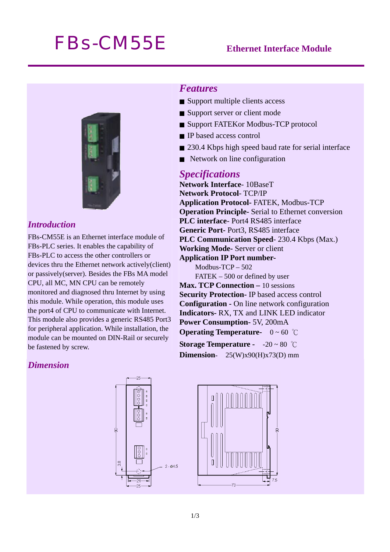# *FBs-CM55E* **Ethernet Interface Module**



# *Introduction*

FBs-CM55E is an Ethernet interface module of FBs-PLC series. It enables the capability of FBs-PLC to access the other controllers or devices thru the Ethernet network actively(client) or passively(server). Besides the FBs MA model CPU, all MC, MN CPU can be remotely monitored and diagnosed thru Internet by using this module. While operation, this module uses the port4 of CPU to communicate with Internet. This module also provides a generic RS485 Port3 for peripheral application. While installation, the module can be mounted on DIN-Rail or securely be fastened by screw.

# *Features*

- Support multiple clients access
- Support server or client mode
- Support FATEKor Modbus-TCP protocol
- IP based access control
- 230.4 Kbps high speed baud rate for serial interface
- Network on line configuration

### *Specifications*

**Network Interface**- 10BaseT **Network Protocol**- TCP/IP **Application Protocol-** FATEK, Modbus-TCP **Operation Principle-** Serial to Ethernet conversion **PLC interface**- Port4 RS485 interface **Generic Port-** Port3, RS485 interface **PLC Communication Speed**- 230.4 Kbps (Max.) **Working Mode-** Server or client **Application IP Port number-**Modbus-TCP – 502 FATEK – 500 or defined by user **Max. TCP Connection – 10 sessions Security Protection-** IP based access control **Configuration -** On line network configuration **Indicators-** RX, TX and LINK LED indicator **Power Consumption-** 5V, 200mA **Operating Temperature-** 0 ~ 60 ℃

*Dimension* 





**Storage Temperature -** -20 ~ 80 ℃ **Dimension**- 25(W)x90(H)x73(D) mm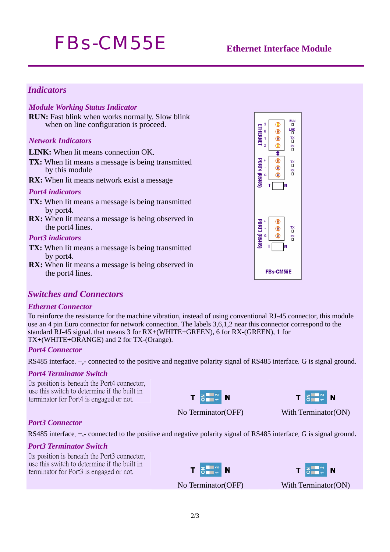# *FBs-CM55E* **Ethernet Interface Module**

### *Indicators*

#### *Module Working Status Indicator*

**RUN:** Fast blink when works normally. Slow blink when on line configuration is proceed.

#### *Network Indicators*

**LINK:** When lit means connection OK.

- **TX:** When lit means a message is being transmitted by this module
- **RX:** When lit means network exist a message

#### *Port4 indicators*

- **TX:** When lit means a message is being transmitted by port4.
- **RX:** When lit means a message is being observed in the port4 lines.

#### *Port3 indicators*

- **TX:** When lit means a message is being transmitted by port4.
- **RX:** When lit means a message is being observed in the port4 lines.



#### *Ethernet Connector*

To reinforce the resistance for the machine vibration, instead of using conventional RJ-45 connector, this module use an 4 pin Euro connector for network connection. The labels 3,6,1,2 near this connector correspond to the standard RJ-45 signal. that means 3 for RX+(WHITE+GREEN), 6 for RX-(GREEN), 1 for TX+(WHITE+ORANGE) and 2 for TX-(Orange).

#### *Port4 Connector*

RS485 interface.  $+$ ,- connected to the positive and negative polarity signal of RS485 interface. G is signal ground.

#### *Port4 Terminator Switch*

Its position is beneath the Port4 connector, use this switch to determine if the built in terminator for Port4 is engaged or not.



N

No Terminator(OFF) With Terminator(ON)

# *Port3 Connector*

RS485 interface. +,- connected to the positive and negative polarity signal of RS485 interface. G is signal ground.

#### *Port3 Terminator Switch*

Its position is beneath the Port3 connector, use this switch to determine if the built in terminator for Port3 is engaged or not.





No Terminator(OFF) With Terminator(ON)